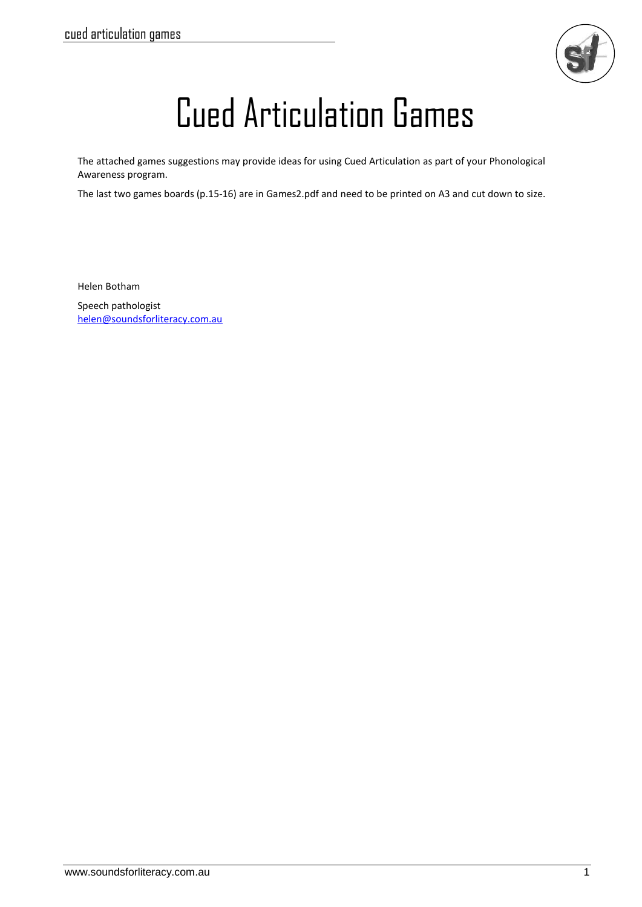

# Cued Articulation Games

The attached games suggestions may provide ideas for using Cued Articulation as part of your Phonological Awareness program.

The last two games boards (p.15-16) are in Games2.pdf and need to be printed on A3 and cut down to size.

Helen Botham

Speech pathologist helen@soundsforliteracy.com.au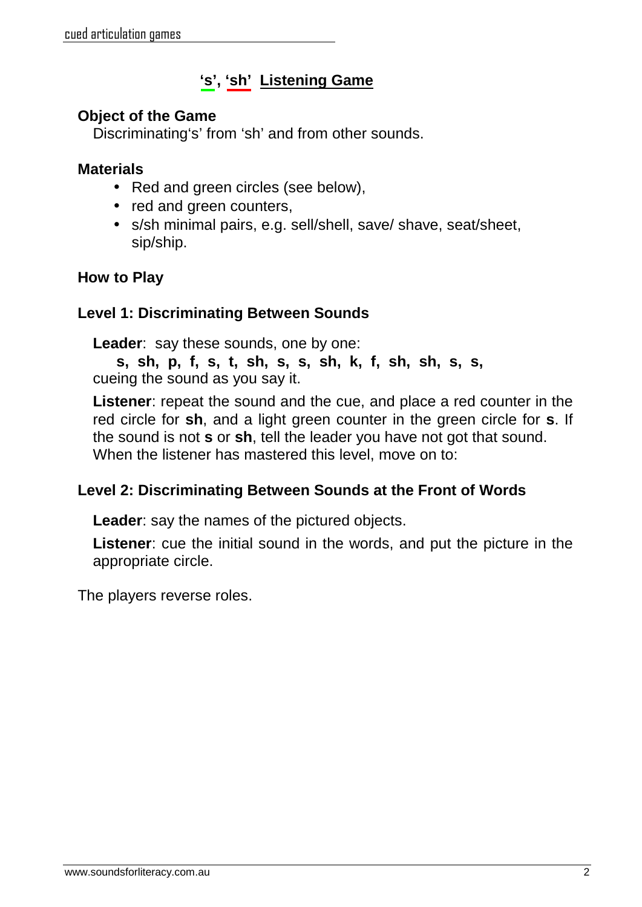# **'s', 'sh' Listening Game**

#### **Object of the Game**

Discriminating's' from 'sh' and from other sounds.

#### **Materials**

- Red and green circles (see below),
- red and green counters,
- s/sh minimal pairs, e.g. sell/shell, save/ shave, seat/sheet, sip/ship.

# **How to Play**

# **Level 1: Discriminating Between Sounds**

**Leader**: say these sounds, one by one:

**s, sh, p, f, s, t, sh, s, s, sh, k, f, sh, sh, s, s,** cueing the sound as you say it.

**Listener**: repeat the sound and the cue, and place a red counter in the red circle for **sh**, and a light green counter in the green circle for **s**. If the sound is not **s** or **sh**, tell the leader you have not got that sound. When the listener has mastered this level, move on to:

# **Level 2: Discriminating Between Sounds at the Front of Words**

**Leader**: say the names of the pictured objects.

**Listener**: cue the initial sound in the words, and put the picture in the appropriate circle.

The players reverse roles.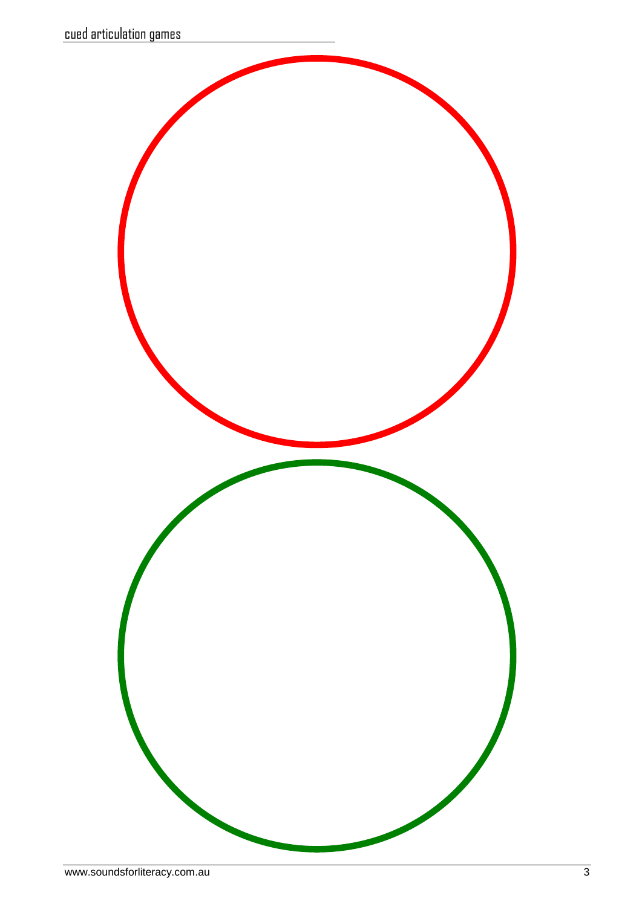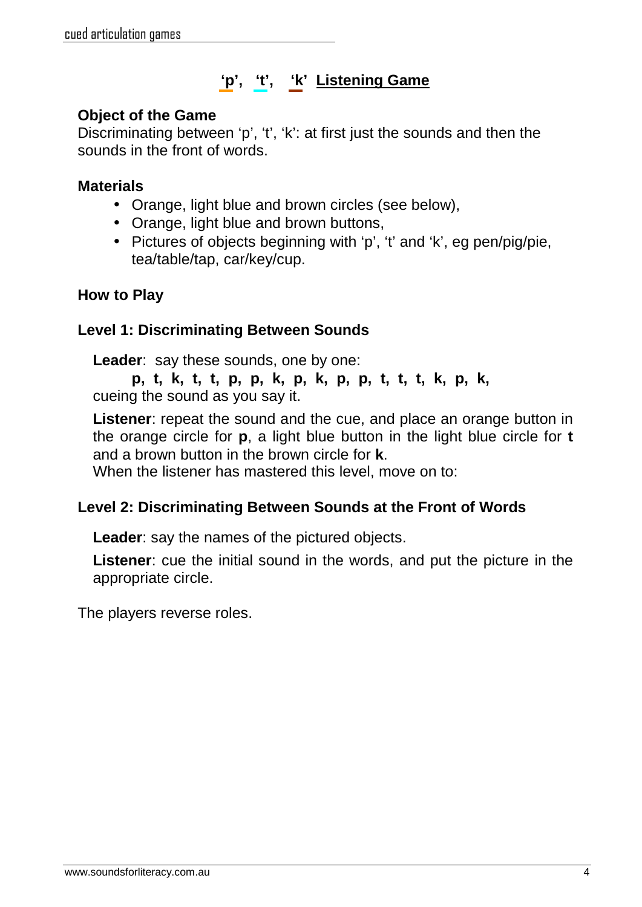# **'p', 't', 'k' Listening Game**

#### **Object of the Game**

Discriminating between 'p', 't', 'k': at first just the sounds and then the sounds in the front of words.

#### **Materials**

- Orange, light blue and brown circles (see below),
- Orange, light blue and brown buttons,
- Pictures of objects beginning with 'p', 't' and 'k', eg pen/pig/pie, tea/table/tap, car/key/cup.

# **How to Play**

# **Level 1: Discriminating Between Sounds**

**Leader**: say these sounds, one by one:

**p, t, k, t, t, p, p, k, p, k, p, p, t, t, t, k, p, k,** cueing the sound as you say it.

**Listener**: repeat the sound and the cue, and place an orange button in the orange circle for **p**, a light blue button in the light blue circle for **t** and a brown button in the brown circle for **k**.

When the listener has mastered this level, move on to:

# **Level 2: Discriminating Between Sounds at the Front of Words**

**Leader**: say the names of the pictured objects.

**Listener**: cue the initial sound in the words, and put the picture in the appropriate circle.

The players reverse roles.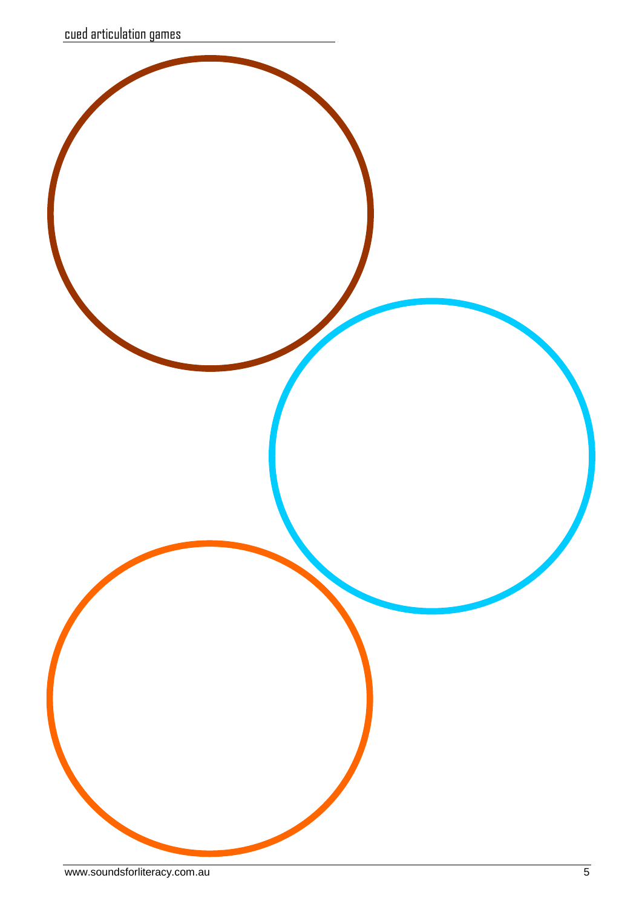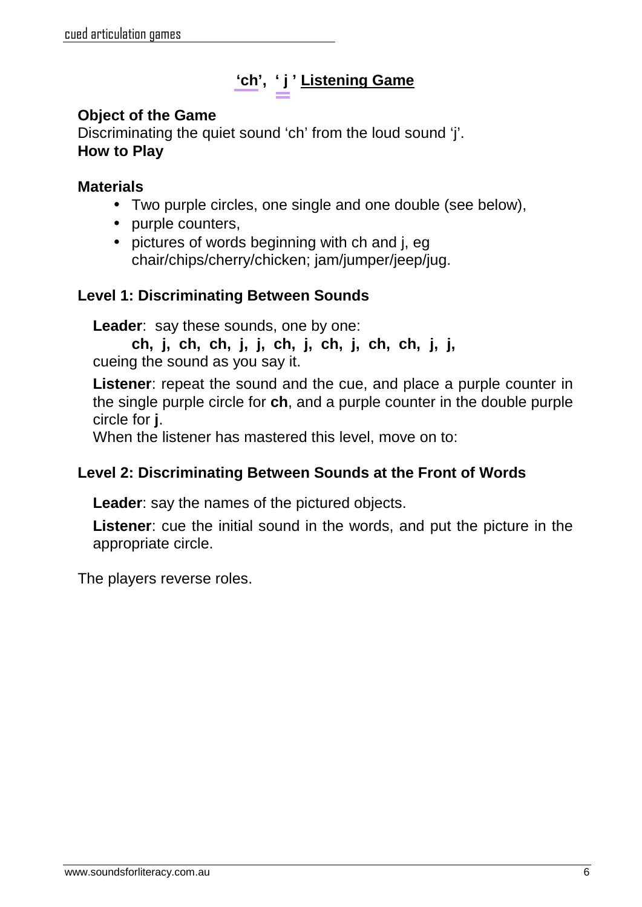# **'ch', ' j ' Listening Game**

# **Object of the Game**

Discriminating the quiet sound 'ch' from the loud sound 'j'. **How to Play**

#### **Materials**

- Two purple circles, one single and one double (see below),
- purple counters,
- pictures of words beginning with ch and j, eg chair/chips/cherry/chicken; jam/jumper/jeep/jug.

#### **Level 1: Discriminating Between Sounds**

**Leader**: say these sounds, one by one:

**ch, j, ch, ch, j, j, ch, j, ch, j, ch, ch, j, j,** cueing the sound as you say it.

**Listener**: repeat the sound and the cue, and place a purple counter in the single purple circle for **ch**, and a purple counter in the double purple circle for **j**.

When the listener has mastered this level, move on to:

# **Level 2: Discriminating Between Sounds at the Front of Words**

**Leader**: say the names of the pictured objects.

**Listener**: cue the initial sound in the words, and put the picture in the appropriate circle.

The players reverse roles.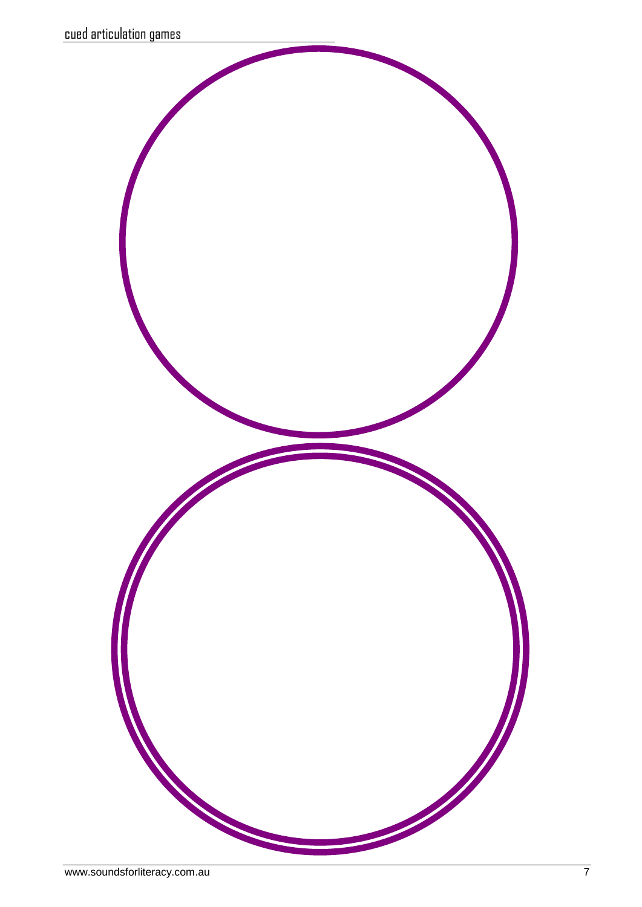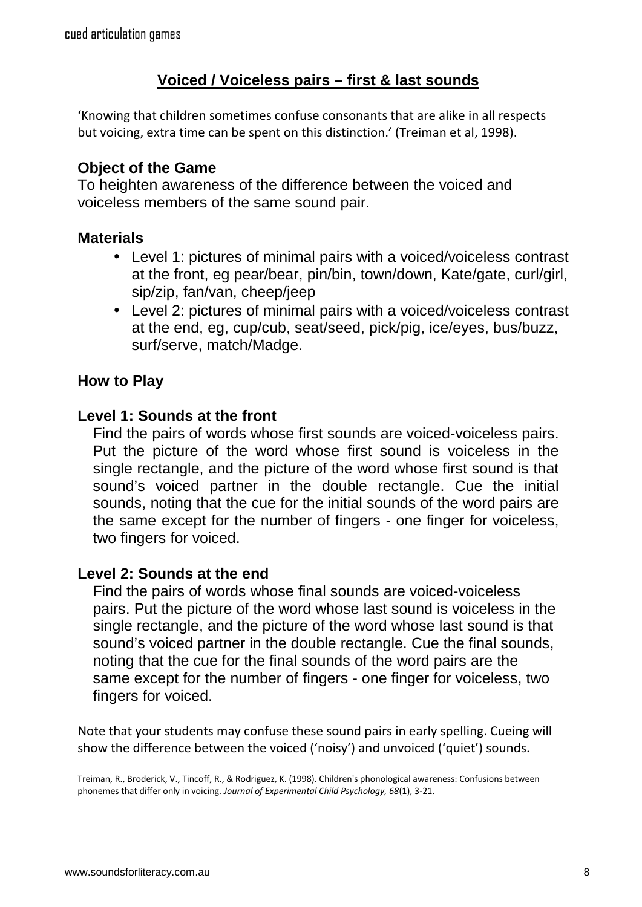# **Voiced / Voiceless pairs – first & last sounds**

'Knowing that children sometimes confuse consonants that are alike in all respects but voicing, extra time can be spent on this distinction.' (Treiman et al, 1998).

### **Object of the Game**

To heighten awareness of the difference between the voiced and voiceless members of the same sound pair.

#### **Materials**

- Level 1: pictures of minimal pairs with a voiced/voiceless contrast at the front, eg pear/bear, pin/bin, town/down, Kate/gate, curl/girl, sip/zip, fan/van, cheep/jeep
- Level 2: pictures of minimal pairs with a voiced/voiceless contrast at the end, eg, cup/cub, seat/seed, pick/pig, ice/eyes, bus/buzz, surf/serve, match/Madge.

#### **How to Play**

#### **Level 1: Sounds at the front**

Find the pairs of words whose first sounds are voiced-voiceless pairs. Put the picture of the word whose first sound is voiceless in the single rectangle, and the picture of the word whose first sound is that sound's voiced partner in the double rectangle. Cue the initial sounds, noting that the cue for the initial sounds of the word pairs are the same except for the number of fingers - one finger for voiceless, two fingers for voiced.

#### **Level 2: Sounds at the end**

Find the pairs of words whose final sounds are voiced-voiceless pairs. Put the picture of the word whose last sound is voiceless in the single rectangle, and the picture of the word whose last sound is that sound's voiced partner in the double rectangle. Cue the final sounds, noting that the cue for the final sounds of the word pairs are the same except for the number of fingers - one finger for voiceless, two fingers for voiced.

Note that your students may confuse these sound pairs in early spelling. Cueing will show the difference between the voiced ('noisy') and unvoiced ('quiet') sounds.

Treiman, R., Broderick, V., Tincoff, R., & Rodriguez, K. (1998). Children's phonological awareness: Confusions between phonemes that differ only in voicing. *Journal of Experimental Child Psychology, 68*(1), 3-21.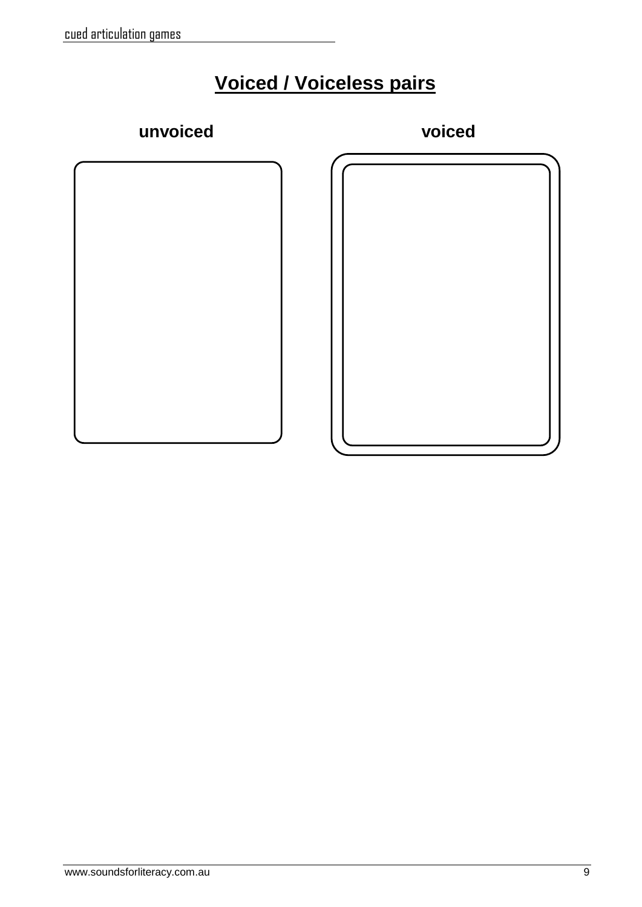# **Voiced / Voiceless pairs**

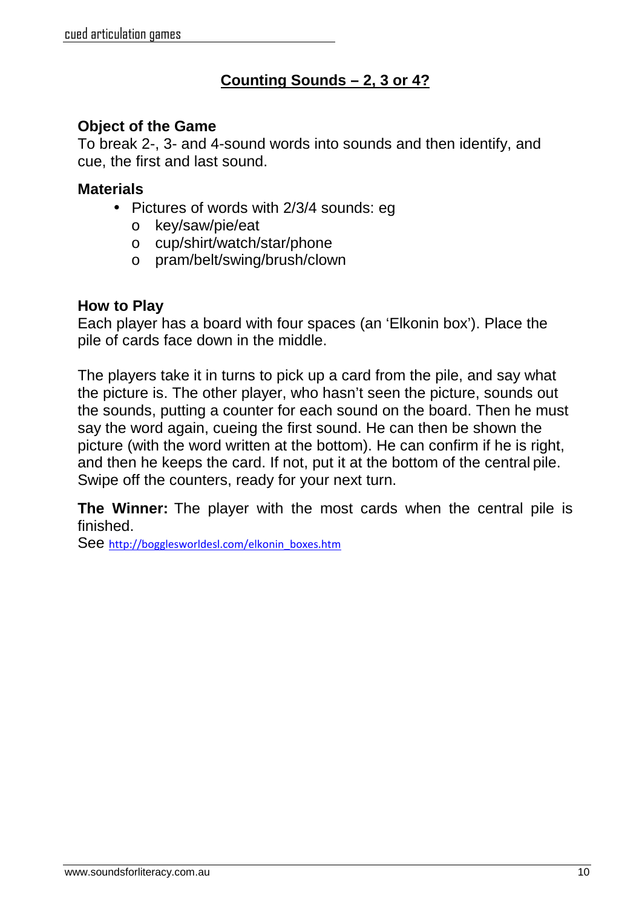# **Counting Sounds – 2, 3 or 4?**

#### **Object of the Game**

To break 2-, 3- and 4-sound words into sounds and then identify, and cue, the first and last sound.

#### **Materials**

- Pictures of words with 2/3/4 sounds: eg
	- o key/saw/pie/eat
	- o cup/shirt/watch/star/phone
	- o pram/belt/swing/brush/clown

#### **How to Play**

Each player has a board with four spaces (an 'Elkonin box'). Place the pile of cards face down in the middle.

The players take it in turns to pick up a card from the pile, and say what the picture is. The other player, who hasn't seen the picture, sounds out the sounds, putting a counter for each sound on the board. Then he must say the word again, cueing the first sound. He can then be shown the picture (with the word written at the bottom). He can confirm if he is right, and then he keeps the card. If not, put it at the bottom of the central pile. Swipe off the counters, ready for your next turn.

**The Winner:** The player with the most cards when the central pile is finished.

See http://bogglesworldesl.com/elkonin\_boxes.htm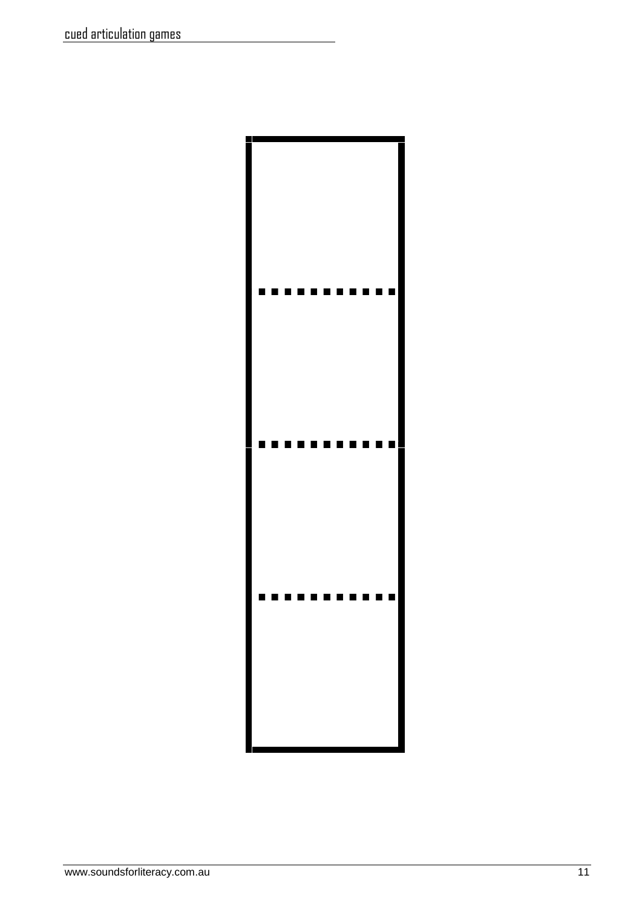|  | I                                          |  |
|--|--------------------------------------------|--|
|  |                                            |  |
|  | ,,,,,,<br><b></b>                          |  |
|  |                                            |  |
|  | $\blacksquare$<br>$\overline{\phantom{a}}$ |  |
|  | ■                                          |  |
|  | $\blacksquare$                             |  |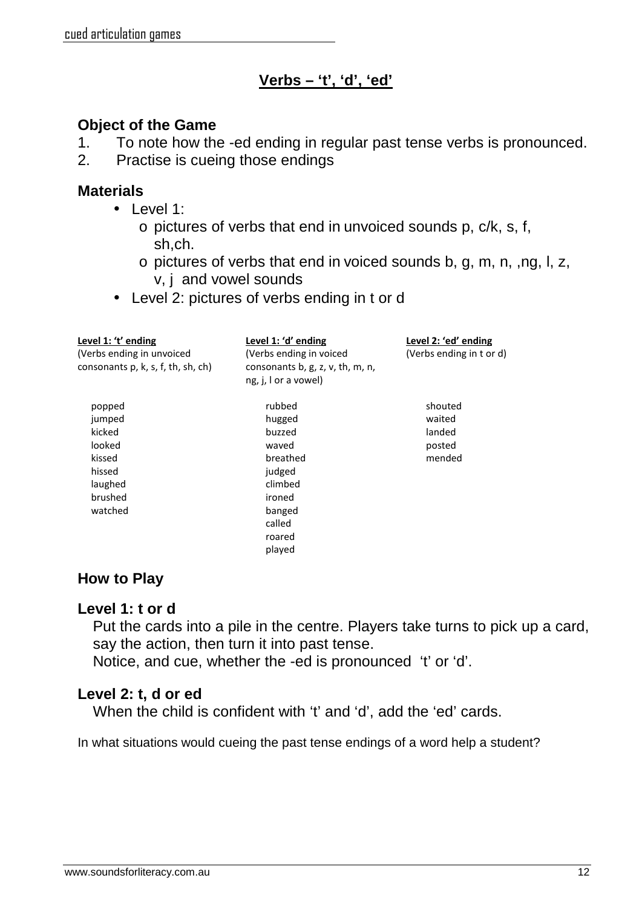# **Verbs – 't', 'd', 'ed'**

# **Object of the Game**

- 1. To note how the -ed ending in regular past tense verbs is pronounced.
- 2. Practise is cueing those endings

#### **Materials**

- Level 1:
	- o pictures of verbs that end in unvoiced sounds p, c/k, s, f, sh,ch.
	- o pictures of verbs that end in voiced sounds b, g, m, n, ,ng, l, z, v, j and vowel sounds
- Level 2: pictures of verbs ending in t or d

| Level 1: 't' ending                | Level 1: 'd' ending                                      | Level 2: 'ed' ending     |
|------------------------------------|----------------------------------------------------------|--------------------------|
| (Verbs ending in unvoiced)         | (Verbs ending in voiced                                  | (Verbs ending in t or d) |
| consonants p, k, s, f, th, sh, ch) | consonants b, g, z, v, th, m, n,<br>ng, j, I or a vowel) |                          |
| popped                             | rubbed                                                   | shouted                  |
| jumped                             | hugged                                                   | waited                   |
| kicked                             | buzzed                                                   | landed                   |
| looked                             | waved                                                    | posted                   |
| kissed                             | breathed                                                 | mended                   |
| hissed                             | judged                                                   |                          |
| laughed                            | climbed                                                  |                          |
| brushed                            | ironed                                                   |                          |
| watched                            | banged                                                   |                          |
|                                    | called                                                   |                          |
|                                    | roared                                                   |                          |

#### **How to Play**

#### **Level 1: t or d**

Put the cards into a pile in the centre. Players take turns to pick up a card, say the action, then turn it into past tense.

Notice, and cue, whether the -ed is pronounced 't' or 'd'.

played

#### **Level 2: t, d or ed**

When the child is confident with 't' and 'd', add the 'ed' cards.

In what situations would cueing the past tense endings of a word help a student?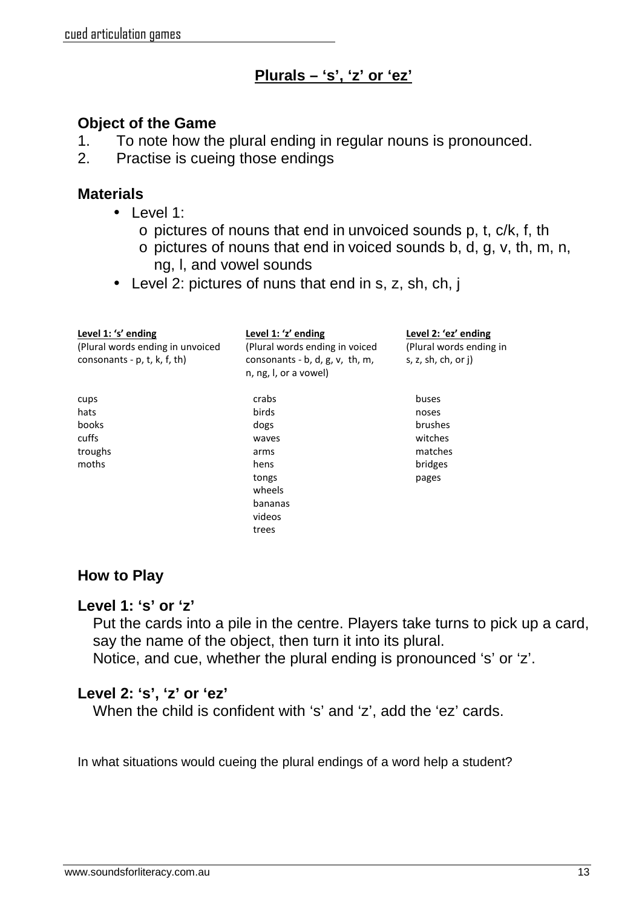# **Plurals – 's', 'z' or 'ez'**

### **Object of the Game**

- 1. To note how the plural ending in regular nouns is pronounced.
- 2. Practise is cueing those endings

#### **Materials**

- Level 1:
	- o pictures of nouns that end in unvoiced sounds p, t, c/k, f, th
	- o pictures of nouns that end in voiced sounds b, d, g, v, th, m, n, ng, l, and vowel sounds
- Level 2: pictures of nuns that end in s, z, sh, ch, j

| Level 1: 's' ending<br>(Plural words ending in unvoiced<br>consonants - p, t, k, f, th) | Level 1: 'z' ending<br>(Plural words ending in voiced<br>consonants $- b$ , d, g, v, th, m,<br>n, ng, l, or a vowel) | Level 2: 'ez' ending<br>(Plural words ending in<br>s, z, sh, ch, or $j$ ) |
|-----------------------------------------------------------------------------------------|----------------------------------------------------------------------------------------------------------------------|---------------------------------------------------------------------------|
| cups                                                                                    | crabs                                                                                                                | buses                                                                     |
| hats                                                                                    | birds                                                                                                                | noses                                                                     |
| books                                                                                   | dogs                                                                                                                 | brushes                                                                   |
| cuffs                                                                                   | waves                                                                                                                | witches                                                                   |
| troughs                                                                                 | arms                                                                                                                 | matches                                                                   |
| moths                                                                                   | hens                                                                                                                 | bridges                                                                   |
|                                                                                         | tongs                                                                                                                | pages                                                                     |
|                                                                                         | wheels                                                                                                               |                                                                           |
|                                                                                         | bananas                                                                                                              |                                                                           |
|                                                                                         | videos                                                                                                               |                                                                           |
|                                                                                         | trees                                                                                                                |                                                                           |

#### **How to Play**

#### **Level 1: 's' or 'z'**

Put the cards into a pile in the centre. Players take turns to pick up a card, say the name of the object, then turn it into its plural. Notice, and cue, whether the plural ending is pronounced 's' or 'z'.

# **Level 2: 's', 'z' or 'ez'**

When the child is confident with 's' and 'z', add the 'ez' cards.

In what situations would cueing the plural endings of a word help a student?